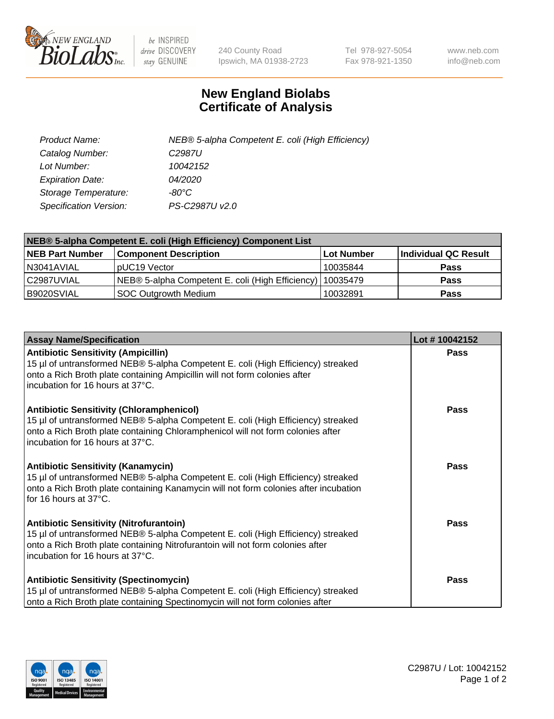

 $be$  INSPIRED drive DISCOVERY stay GENUINE

240 County Road Ipswich, MA 01938-2723 Tel 978-927-5054 Fax 978-921-1350 www.neb.com info@neb.com

## **New England Biolabs Certificate of Analysis**

| Product Name:                 | NEB® 5-alpha Competent E. coli (High Efficiency) |
|-------------------------------|--------------------------------------------------|
| Catalog Number:               | C <sub>2987</sub> U                              |
| Lot Number:                   | 10042152                                         |
| <b>Expiration Date:</b>       | <i>04/2020</i>                                   |
| Storage Temperature:          | -80°C                                            |
| <b>Specification Version:</b> | PS-C2987U v2.0                                   |

| NEB® 5-alpha Competent E. coli (High Efficiency) Component List |                                                             |                   |                      |  |
|-----------------------------------------------------------------|-------------------------------------------------------------|-------------------|----------------------|--|
| <b>NEB Part Number</b>                                          | <b>Component Description</b>                                | <b>Lot Number</b> | Individual QC Result |  |
| N3041AVIAL                                                      | pUC19 Vector                                                | 10035844          | <b>Pass</b>          |  |
| C2987UVIAL                                                      | NEB® 5-alpha Competent E. coli (High Efficiency)   10035479 |                   | <b>Pass</b>          |  |
| B9020SVIAL                                                      | SOC Outgrowth Medium                                        | 10032891          | <b>Pass</b>          |  |

| <b>Assay Name/Specification</b>                                                                                                                                                                                                                            | Lot #10042152 |
|------------------------------------------------------------------------------------------------------------------------------------------------------------------------------------------------------------------------------------------------------------|---------------|
| <b>Antibiotic Sensitivity (Ampicillin)</b><br>15 µl of untransformed NEB® 5-alpha Competent E. coli (High Efficiency) streaked<br>onto a Rich Broth plate containing Ampicillin will not form colonies after<br>incubation for 16 hours at 37°C.           | <b>Pass</b>   |
| <b>Antibiotic Sensitivity (Chloramphenicol)</b><br>15 µl of untransformed NEB® 5-alpha Competent E. coli (High Efficiency) streaked<br>onto a Rich Broth plate containing Chloramphenicol will not form colonies after<br>incubation for 16 hours at 37°C. | Pass          |
| Antibiotic Sensitivity (Kanamycin)<br>15 µl of untransformed NEB® 5-alpha Competent E. coli (High Efficiency) streaked<br>onto a Rich Broth plate containing Kanamycin will not form colonies after incubation<br>for 16 hours at 37°C.                    | Pass          |
| <b>Antibiotic Sensitivity (Nitrofurantoin)</b><br>15 µl of untransformed NEB® 5-alpha Competent E. coli (High Efficiency) streaked<br>onto a Rich Broth plate containing Nitrofurantoin will not form colonies after<br>incubation for 16 hours at 37°C.   | <b>Pass</b>   |
| <b>Antibiotic Sensitivity (Spectinomycin)</b><br>15 µl of untransformed NEB® 5-alpha Competent E. coli (High Efficiency) streaked<br>onto a Rich Broth plate containing Spectinomycin will not form colonies after                                         | Pass          |